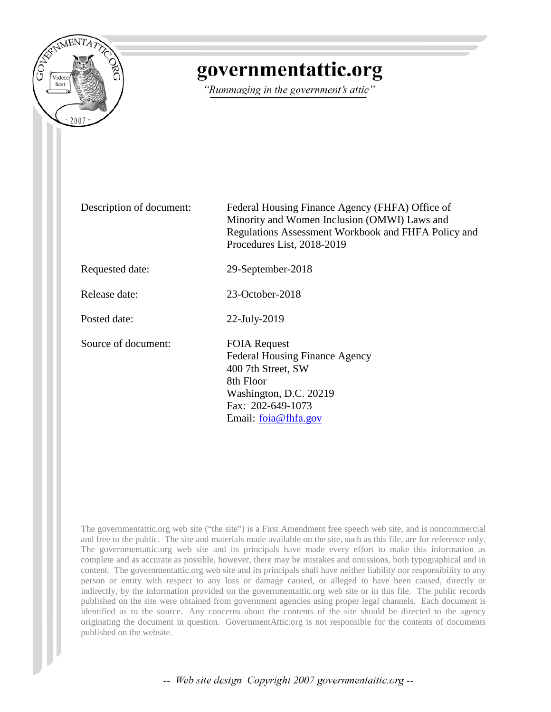

# governmentattic.org

"Rummaging in the government's attic"

Description of document: Federal Housing Finance Agency (FHFA) Office of Minority and Women Inclusion (OMWI) Laws and Regulations Assessment Workbook and FHFA Policy and Procedures List, 2018-2019

Requested date: 29-September-2018

Release date: 23-October-2018

Posted date: 22-July-2019

Source of document: FOIA Request

Federal Housing Finance Agency 400 7th Street, SW 8th Floor Washington, D.C. 20219 Fax: 202-649-1073 Email: [foia@fhfa.gov](mailto:foia@fhfa.gov?subject=FOIA%20Request)

The governmentattic.org web site ("the site") is a First Amendment free speech web site, and is noncommercial and free to the public. The site and materials made available on the site, such as this file, are for reference only. The governmentattic.org web site and its principals have made every effort to make this information as complete and as accurate as possible, however, there may be mistakes and omissions, both typographical and in content. The governmentattic.org web site and its principals shall have neither liability nor responsibility to any person or entity with respect to any loss or damage caused, or alleged to have been caused, directly or indirectly, by the information provided on the governmentattic.org web site or in this file. The public records published on the site were obtained from government agencies using proper legal channels. Each document is identified as to the source. Any concerns about the contents of the site should be directed to the agency originating the document in question. GovernmentAttic.org is not responsible for the contents of documents published on the website.

-- Web site design Copyright 2007 governmentattic.org --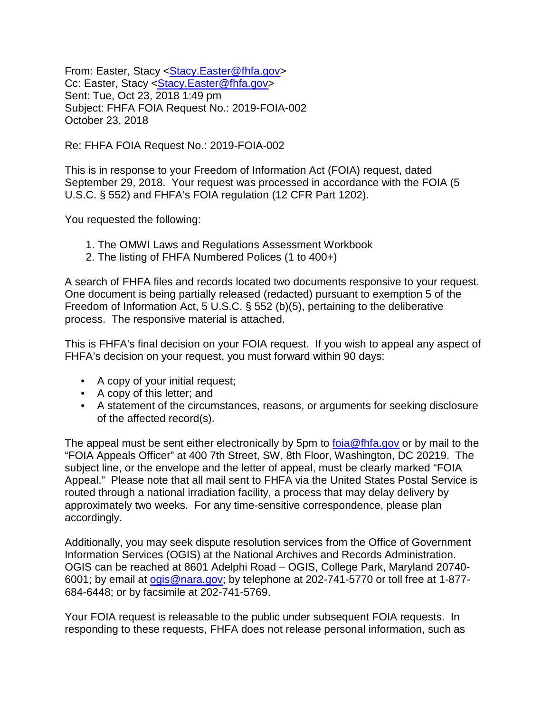From: Easter, Stacy [<Stacy.Easter@fhfa.gov>](mailto:Stacy.Easter@fhfa.gov) Cc: Easter, Stacy [<Stacy.Easter@fhfa.gov>](mailto:Stacy.Easter@fhfa.gov) Sent: Tue, Oct 23, 2018 1:49 pm Subject: FHFA FOIA Request No.: 2019-FOIA-002 October 23, 2018

Re: FHFA FOIA Request No.: 2019-FOIA-002

This is in response to your Freedom of Information Act (FOIA) request, dated September 29, 2018. Your request was processed in accordance with the FOIA (5 U.S.C. § 552) and FHFA's FOIA regulation (12 CFR Part 1202).

You requested the following:

- 1. The OMWI Laws and Regulations Assessment Workbook
- 2. The listing of FHFA Numbered Polices (1 to 400+)

A search of FHFA files and records located two documents responsive to your request. One document is being partially released (redacted) pursuant to exemption 5 of the Freedom of Information Act, 5 U.S.C. § 552 (b)(5), pertaining to the deliberative process. The responsive material is attached.

This is FHFA's final decision on your FOIA request. If you wish to appeal any aspect of FHFA's decision on your request, you must forward within 90 days:

- A copy of your initial request;
- A copy of this letter; and
- A statement of the circumstances, reasons, or arguments for seeking disclosure of the affected record(s).

The appeal must be sent either electronically by 5pm to [foia@fhfa.gov](mailto:foia@fhfa.gov) or by mail to the "FOIA Appeals Officer" at 400 7th Street, SW, 8th Floor, Washington, DC 20219. The subject line, or the envelope and the letter of appeal, must be clearly marked "FOIA Appeal." Please note that all mail sent to FHFA via the United States Postal Service is routed through a national irradiation facility, a process that may delay delivery by approximately two weeks. For any time-sensitive correspondence, please plan accordingly.

Additionally, you may seek dispute resolution services from the Office of Government Information Services (OGIS) at the National Archives and Records Administration. OGIS can be reached at 8601 Adelphi Road – OGIS, College Park, Maryland 20740- 6001; by email at [ogis@nara.gov;](mailto:ogis@nara.gov) by telephone at 202-741-5770 or toll free at 1-877- 684-6448; or by facsimile at 202-741-5769.

Your FOIA request is releasable to the public under subsequent FOIA requests. In responding to these requests, FHFA does not release personal information, such as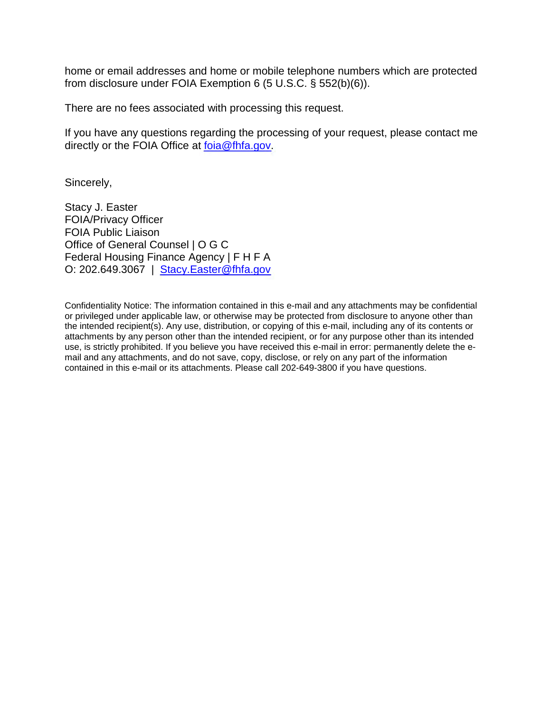home or email addresses and home or mobile telephone numbers which are protected from disclosure under FOIA Exemption 6 (5 U.S.C. § 552(b)(6)).

There are no fees associated with processing this request.

If you have any questions regarding the processing of your request, please contact me directly or the FOIA Office at [foia@fhfa.gov.](mailto:foia@fhfa.gov)

Sincerely,

Stacy J. Easter FOIA/Privacy Officer FOIA Public Liaison Office of General Counsel | O G C Federal Housing Finance Agency | F H F A O: 202.649.3067 | [Stacy.Easter@fhfa.gov](mailto:Stacy.Easter@fhfa.gov)

Confidentiality Notice: The information contained in this e-mail and any attachments may be confidential or privileged under applicable law, or otherwise may be protected from disclosure to anyone other than the intended recipient(s). Any use, distribution, or copying of this e-mail, including any of its contents or attachments by any person other than the intended recipient, or for any purpose other than its intended use, is strictly prohibited. If you believe you have received this e-mail in error: permanently delete the email and any attachments, and do not save, copy, disclose, or rely on any part of the information contained in this e-mail or its attachments. Please call 202-649-3800 if you have questions.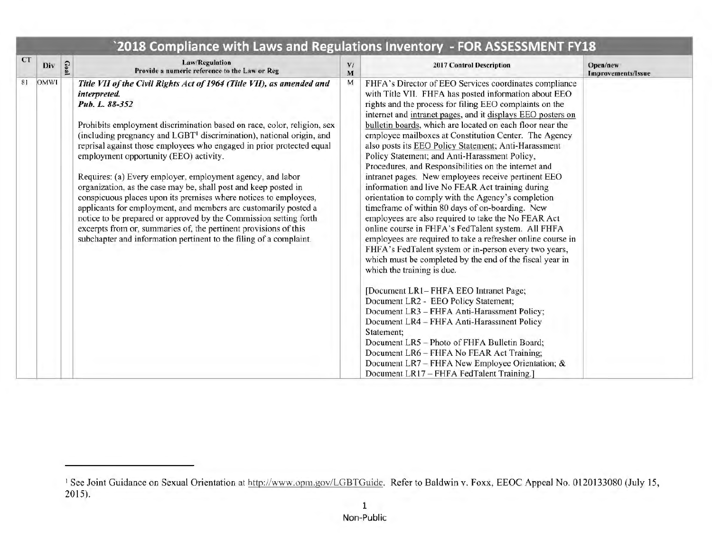|           |      |     | 2018 Compliance with Laws and Regulations Inventory - FOR ASSESSMENT FY18                                                                                                                                                                                                                                                                                                                                                                                                                                                                                                                                                                                                                                                                                                                                                                                                        |         |                                                                                                                                                                                                                                                                                                                                                                                                                                                                                                                                                                                                                                                                                                                                                                                                                                                                                                                                                                                                                                                                                                                                                                                                                                                                                                                                                                                                                                                                              |                                       |
|-----------|------|-----|----------------------------------------------------------------------------------------------------------------------------------------------------------------------------------------------------------------------------------------------------------------------------------------------------------------------------------------------------------------------------------------------------------------------------------------------------------------------------------------------------------------------------------------------------------------------------------------------------------------------------------------------------------------------------------------------------------------------------------------------------------------------------------------------------------------------------------------------------------------------------------|---------|------------------------------------------------------------------------------------------------------------------------------------------------------------------------------------------------------------------------------------------------------------------------------------------------------------------------------------------------------------------------------------------------------------------------------------------------------------------------------------------------------------------------------------------------------------------------------------------------------------------------------------------------------------------------------------------------------------------------------------------------------------------------------------------------------------------------------------------------------------------------------------------------------------------------------------------------------------------------------------------------------------------------------------------------------------------------------------------------------------------------------------------------------------------------------------------------------------------------------------------------------------------------------------------------------------------------------------------------------------------------------------------------------------------------------------------------------------------------------|---------------------------------------|
| <b>CT</b> | Div  | G02 | Law/Regulation<br>Provide a numeric reference to the Law or Reg                                                                                                                                                                                                                                                                                                                                                                                                                                                                                                                                                                                                                                                                                                                                                                                                                  | V/<br>M | 2017 Control Description                                                                                                                                                                                                                                                                                                                                                                                                                                                                                                                                                                                                                                                                                                                                                                                                                                                                                                                                                                                                                                                                                                                                                                                                                                                                                                                                                                                                                                                     | Open/new<br><b>Improvements/Issue</b> |
| 81        | OMWI |     | Title VII of the Civil Rights Act of 1964 (Title VII), as amended and<br>interpreted.<br>Pub. L. 88-352<br>Prohibits employment discrimination based on race, color, religion, sex<br>(including pregnancy and LGBT <sup>1</sup> discrimination), national origin, and<br>reprisal against those employees who engaged in prior protected equal<br>employment opportunity (EEO) activity.<br>Requires: (a) Every employer, employment agency, and labor<br>organization, as the case may be, shall post and keep posted in<br>conspicuous places upon its premises where notices to employees,<br>applicants for employment, and members are customarily posted a<br>notice to be prepared or approved by the Commission setting forth<br>excerpts from or, summaries of, the pertinent provisions of this<br>subchapter and information pertinent to the filing of a complaint. | M       | FHFA's Director of EEO Services coordinates compliance<br>with Title VII. FHFA has posted information about EEO<br>rights and the process for filing EEO complaints on the<br>internet and intranet pages, and it displays EEO posters on<br>bulletin boards, which are located on each floor near the<br>employee mailboxes at Constitution Center. The Agency<br>also posts its EEO Policy Statement; Anti-Harassment<br>Policy Statement; and Anti-Harassment Policy,<br>Procedures, and Responsibilities on the internet and<br>intranet pages. New employees receive pertinent EEO<br>information and live No FEAR Act training during<br>orientation to comply with the Agency's completion<br>timeframe of within 80 days of on-boarding. New<br>employees are also required to take the No FEAR Act<br>online course in FHFA's FedTalent system. All FHFA<br>employees are required to take a refresher online course in<br>FHFA's FedTalent system or in-person every two years,<br>which must be completed by the end of the fiscal year in<br>which the training is due.<br>[Document LR1-FHFA EEO Intranet Page;<br>Document LR2 - EEO Policy Statement;<br>Document LR3 - FHFA Anti-Harassment Policy;<br>Document LR4 - FHFA Anti-Harassment Policy<br>Statement;<br>Document LR5 - Photo of FHFA Bulletin Board;<br>Document LR6 - FHFA No FEAR Act Training;<br>Document LR7 - FHFA New Employee Orientation; &<br>Document LR17 - FHFA FedTalent Training.] |                                       |

<sup>&</sup>lt;sup>1</sup> See Joint Guidance on Sexual Orientation at http://www.opm.gov/LGBTGuide. Refer to Baldwin v. Foxx, EEOC Appeal No. 0120133080 (July 15, 2015).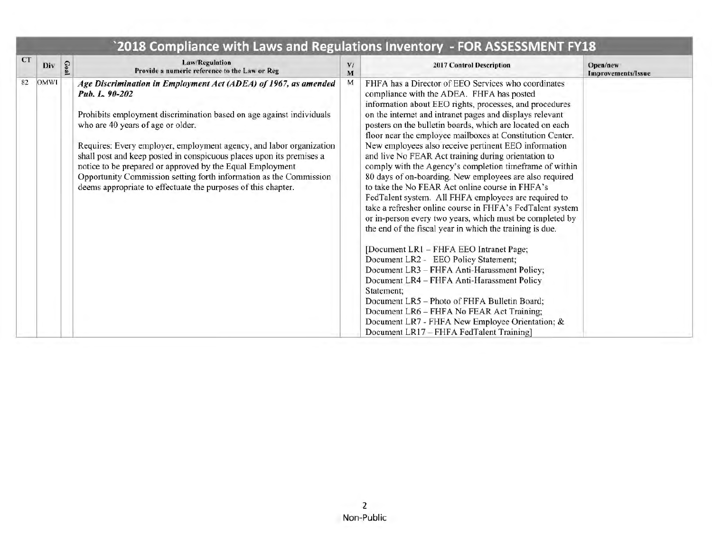|    |             | 2010 Comphance With Laws and Regulations inventory — I ON ASSESSMENT FITO                                                                                                                                                                                                                                                                                                                                                                                                                                                                         |         |                                                                                                                                                                                                                                                                                                                                                                                                                                                                                                                                                                                                                                                                                                                                                                                                                                                                                                                                                                                                                                                                                                                                                                                                                                                                                  |                                       |
|----|-------------|---------------------------------------------------------------------------------------------------------------------------------------------------------------------------------------------------------------------------------------------------------------------------------------------------------------------------------------------------------------------------------------------------------------------------------------------------------------------------------------------------------------------------------------------------|---------|----------------------------------------------------------------------------------------------------------------------------------------------------------------------------------------------------------------------------------------------------------------------------------------------------------------------------------------------------------------------------------------------------------------------------------------------------------------------------------------------------------------------------------------------------------------------------------------------------------------------------------------------------------------------------------------------------------------------------------------------------------------------------------------------------------------------------------------------------------------------------------------------------------------------------------------------------------------------------------------------------------------------------------------------------------------------------------------------------------------------------------------------------------------------------------------------------------------------------------------------------------------------------------|---------------------------------------|
| CT | Div         | <b>Law/Regulation</b><br>Provide a numeric reference to the Law or Reg                                                                                                                                                                                                                                                                                                                                                                                                                                                                            | V/<br>M | <b>2017 Control Description</b>                                                                                                                                                                                                                                                                                                                                                                                                                                                                                                                                                                                                                                                                                                                                                                                                                                                                                                                                                                                                                                                                                                                                                                                                                                                  | Open/new<br><b>Improvements/Issue</b> |
| 82 | <b>OMWI</b> | Age Discrimination in Employment Act (ADEA) of 1967, as amended<br>Pub. L. 90-202<br>Prohibits employment discrimination based on age against individuals<br>who are 40 years of age or older.<br>Requires: Every employer, employment agency, and labor organization<br>shall post and keep posted in conspicuous places upon its premises a<br>notice to be prepared or approved by the Equal Employment<br>Opportunity Commission setting forth information as the Commission<br>deems appropriate to effectuate the purposes of this chapter. | M       | FHFA has a Director of EEO Services who coordinates<br>compliance with the ADEA. FHFA has posted<br>information about EEO rights, processes, and procedures<br>on the internet and intranet pages and displays relevant<br>posters on the bulletin boards, which are located on each<br>floor near the employee mailboxes at Constitution Center.<br>New employees also receive pertinent EEO information<br>and live No FEAR Act training during orientation to<br>comply with the Agency's completion timeframe of within<br>80 days of on-boarding. New employees are also required<br>to take the No FEAR Act online course in FHFA's<br>FedTalent system. All FHFA employees are required to<br>take a refresher online course in FHFA's FedTalent system<br>or in-person every two years, which must be completed by<br>the end of the fiscal year in which the training is due.<br>[Document LR1 - FHFA EEO Intranet Page;<br>Document LR2 - EEO Policy Statement;<br>Document LR3 - FHFA Anti-Harassment Policy;<br>Document LR4 - FHFA Anti-Harassment Policy<br>Statement:<br>Document LR5 - Photo of FHFA Bulletin Board;<br>Document LR6 - FHFA No FEAR Act Training;<br>Document LR7 - FHFA New Employee Orientation; &<br>Document LR17 - FHFA FedTalent Training] |                                       |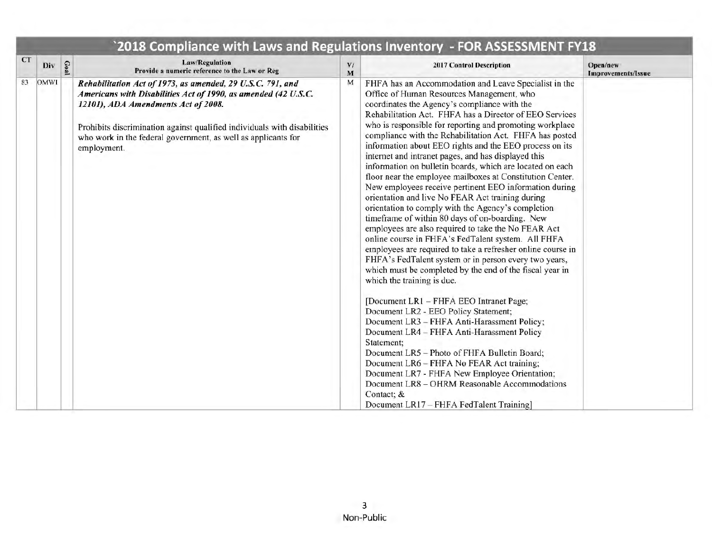| <b>CT</b> |      |      |                                                                                                                                                                                                                                                                                                                                 |                     |                                                                                                                                                                                                                                                                                                                                                                                                                                                                                                                                                                                                                                                                                                                                                                                                                                                                                                                                                                                                                                                                                                                                                                                                                                                                                                                                                                                                                                                                                                                                                                                               |                                |
|-----------|------|------|---------------------------------------------------------------------------------------------------------------------------------------------------------------------------------------------------------------------------------------------------------------------------------------------------------------------------------|---------------------|-----------------------------------------------------------------------------------------------------------------------------------------------------------------------------------------------------------------------------------------------------------------------------------------------------------------------------------------------------------------------------------------------------------------------------------------------------------------------------------------------------------------------------------------------------------------------------------------------------------------------------------------------------------------------------------------------------------------------------------------------------------------------------------------------------------------------------------------------------------------------------------------------------------------------------------------------------------------------------------------------------------------------------------------------------------------------------------------------------------------------------------------------------------------------------------------------------------------------------------------------------------------------------------------------------------------------------------------------------------------------------------------------------------------------------------------------------------------------------------------------------------------------------------------------------------------------------------------------|--------------------------------|
|           | Div  | Goal | <b>Law/Regulation</b><br>Provide a numeric reference to the Law or Reg                                                                                                                                                                                                                                                          | $\mathbf{V}$ /<br>M | 2017 Control Description                                                                                                                                                                                                                                                                                                                                                                                                                                                                                                                                                                                                                                                                                                                                                                                                                                                                                                                                                                                                                                                                                                                                                                                                                                                                                                                                                                                                                                                                                                                                                                      | Open/new<br>Improvements/Issue |
| 83        | OMWI |      | Rehabilitation Act of 1973, as amended, 29 U.S.C. 791, and<br>Americans with Disabilities Act of 1990, as amended (42 U.S.C.<br>12101), ADA Amendments Act of 2008.<br>Prohibits discrimination against qualified individuals with disabilities<br>who work in the federal government, as well as applicants for<br>employment. | М                   | FHFA has an Accommodation and Leave Specialist in the<br>Office of Human Resources Management, who<br>coordinates the Agency's compliance with the<br>Rehabilitation Act. FHFA has a Director of EEO Services<br>who is responsible for reporting and promoting workplace<br>compliance with the Rehabilitation Act. FHFA has posted<br>information about EEO rights and the EEO process on its<br>internet and intranet pages, and has displayed this<br>information on bulletin boards, which are located on each<br>floor near the employee mailboxes at Constitution Center.<br>New employees receive pertinent EEO information during<br>orientation and live No FEAR Act training during<br>orientation to comply with the Agency's completion<br>timeframe of within 80 days of on-boarding. New<br>employees are also required to take the No FEAR Act<br>online course in FHFA's FedTalent system. All FHFA<br>employees are required to take a refresher online course in<br>FHFA's FedTalent system or in person every two years,<br>which must be completed by the end of the fiscal year in<br>which the training is due.<br>[Document LR1 - FHFA EEO Intranet Page;<br>Document LR2 - EEO Policy Statement;<br>Document LR3 - FHFA Anti-Harassment Policy;<br>Document LR4 - FHFA Anti-Harassment Policy<br>Statement:<br>Document LR5 - Photo of FHFA Bulletin Board;<br>Document LR6 - FHFA No FEAR Act training;<br>Document LR7 - FHFA New Employee Orientation;<br>Document LR8 - OHRM Reasonable Accommodations<br>Contact; &<br>Document LR17 - FHFA FedTalent Training] |                                |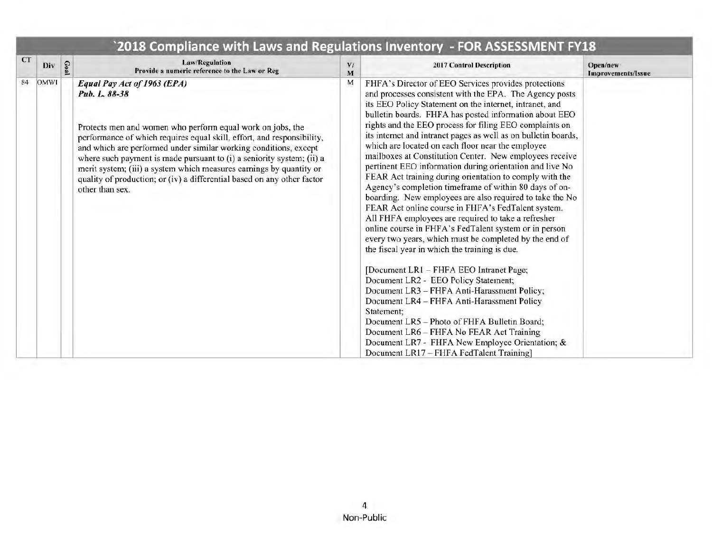|           |      |      |                                                                                                                                                                                                                                                                                                                                                                                                                                                                                                        | 2018 Compliance with Laws and Regulations Inventory - FOR ASSESSMENT FY18 |                                                                                                                                                                                                                                                                                                                                                                                                                                                                                                                                                                                                                                                                                                                                                                                                                                                                                                                                                                                                                                                                                                                                                                                                                                                                                                                                                                                                          |                                       |  |  |  |
|-----------|------|------|--------------------------------------------------------------------------------------------------------------------------------------------------------------------------------------------------------------------------------------------------------------------------------------------------------------------------------------------------------------------------------------------------------------------------------------------------------------------------------------------------------|---------------------------------------------------------------------------|----------------------------------------------------------------------------------------------------------------------------------------------------------------------------------------------------------------------------------------------------------------------------------------------------------------------------------------------------------------------------------------------------------------------------------------------------------------------------------------------------------------------------------------------------------------------------------------------------------------------------------------------------------------------------------------------------------------------------------------------------------------------------------------------------------------------------------------------------------------------------------------------------------------------------------------------------------------------------------------------------------------------------------------------------------------------------------------------------------------------------------------------------------------------------------------------------------------------------------------------------------------------------------------------------------------------------------------------------------------------------------------------------------|---------------------------------------|--|--|--|
| <b>CT</b> | Div  | Goal | <b>Law/Regulation</b><br>Provide a numeric reference to the Law or Reg                                                                                                                                                                                                                                                                                                                                                                                                                                 | V/<br>M                                                                   | <b>2017 Control Description</b>                                                                                                                                                                                                                                                                                                                                                                                                                                                                                                                                                                                                                                                                                                                                                                                                                                                                                                                                                                                                                                                                                                                                                                                                                                                                                                                                                                          | Open/new<br><b>Improvements/Issue</b> |  |  |  |
| 84        | OMWI |      | Equal Pay Act of 1963 (EPA)<br>Pub. L. 88-38<br>Protects men and women who perform equal work on jobs, the<br>performance of which requires equal skill, effort, and responsibility,<br>and which are performed under similar working conditions, except<br>where such payment is made pursuant to (i) a seniority system; (ii) a<br>merit system; (iii) a system which measures earnings by quantity or<br>quality of production; or (iv) a differential based on any other factor<br>other than sex. | M                                                                         | FHFA's Director of EEO Services provides protections<br>and processes consistent with the EPA. The Agency posts<br>its EEO Policy Statement on the internet, intranet, and<br>bulletin boards. FHFA has posted information about EEO<br>rights and the EEO process for filing EEO complaints on<br>its internet and intranet pages as well as on bulletin boards,<br>which are located on each floor near the employee<br>mailboxes at Constitution Center. New employees receive<br>pertinent EEO information during orientation and live No<br>FEAR Act training during orientation to comply with the<br>Agency's completion timeframe of within 80 days of on-<br>boarding. New employees are also required to take the No<br>FEAR Act online course in FHFA's FedTalent system.<br>All FHFA employees are required to take a refresher<br>online course in FHFA's FedTalent system or in person<br>every two years, which must be completed by the end of<br>the fiscal year in which the training is due.<br>[Document LR1 - FHFA EEO Intranet Page;<br>Document LR2 - EEO Policy Statement;<br>Document LR3 - FHFA Anti-Harassment Policy;<br>Document LR4 - FHFA Anti-Harassment Policy<br>Statement;<br>Document LR5 - Photo of FHFA Bulletin Board;<br>Document LR6 - FHFA No FEAR Act Training<br>Document LR7 - FHFA New Employee Orientation; &<br>Document LR17 - FHFA FedTalent Training] |                                       |  |  |  |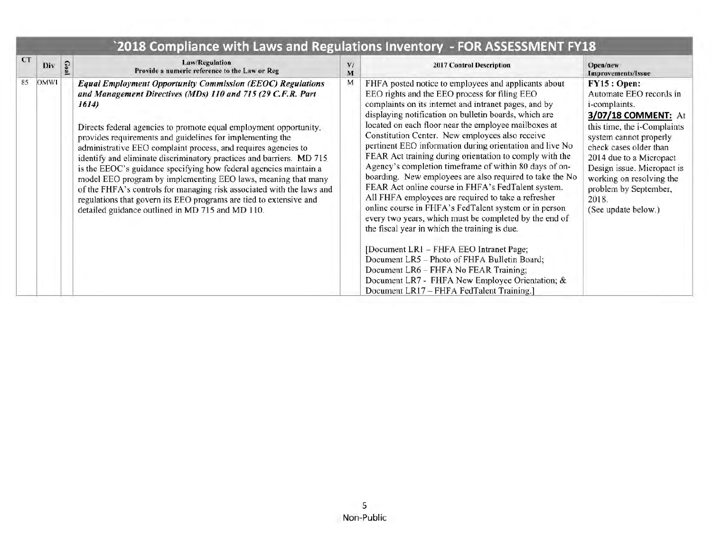| CT | Div         | Goa | <b>Law/Regulation</b><br>Provide a numeric reference to the Law or Reg                                                                                                                                                                                                                                                                                                                                                                                                                                                                                                                                                                                                                                                                                         | V/<br>M | <b>2017 Control Description</b>                                                                                                                                                                                                                                                                                                                                                                                                                                                                                                                                                                                                                                                                                                                                                                                                                                                                                                                                                                                                                                                                      | Open/new<br>Improvements/Issue                                                                                                                                                                                                                                                                                         |
|----|-------------|-----|----------------------------------------------------------------------------------------------------------------------------------------------------------------------------------------------------------------------------------------------------------------------------------------------------------------------------------------------------------------------------------------------------------------------------------------------------------------------------------------------------------------------------------------------------------------------------------------------------------------------------------------------------------------------------------------------------------------------------------------------------------------|---------|------------------------------------------------------------------------------------------------------------------------------------------------------------------------------------------------------------------------------------------------------------------------------------------------------------------------------------------------------------------------------------------------------------------------------------------------------------------------------------------------------------------------------------------------------------------------------------------------------------------------------------------------------------------------------------------------------------------------------------------------------------------------------------------------------------------------------------------------------------------------------------------------------------------------------------------------------------------------------------------------------------------------------------------------------------------------------------------------------|------------------------------------------------------------------------------------------------------------------------------------------------------------------------------------------------------------------------------------------------------------------------------------------------------------------------|
| 85 | <b>OMWI</b> |     | <b>Equal Employment Opportunity Commission (EEOC) Regulations</b><br>and Management Directives (MDs) 110 and 715 (29 C.F.R. Part<br>1614)<br>Directs federal agencies to promote equal employment opportunity,<br>provides requirements and guidelines for implementing the<br>administrative EEO complaint process, and requires agencies to<br>identify and eliminate discriminatory practices and barriers. MD 715<br>is the EEOC's guidance specifying how federal agencies maintain a<br>model EEO program by implementing EEO laws, meaning that many<br>of the FHFA's controls for managing risk associated with the laws and<br>regulations that govern its EEO programs are tied to extensive and<br>detailed guidance outlined in MD 715 and MD 110. | M       | FHFA posted notice to employees and applicants about<br>EEO rights and the EEO process for filing EEO<br>complaints on its internet and intranet pages, and by<br>displaying notification on bulletin boards, which are<br>located on each floor near the employee mailboxes at<br>Constitution Center. New employees also receive<br>pertinent EEO information during orientation and live No<br>FEAR Act training during orientation to comply with the<br>Agency's completion timeframe of within 80 days of on-<br>boarding. New employees are also required to take the No<br>FEAR Act online course in FHFA's FedTalent system.<br>All FHFA employees are required to take a refresher<br>online course in FHFA's FedTalent system or in person<br>every two years, which must be completed by the end of<br>the fiscal year in which the training is due.<br>[Document LR1 – FHFA EEO Intranet Page;<br>Document LR5 - Photo of FHFA Bulletin Board;<br>Document LR6 - FHFA No FEAR Training;<br>Document LR7 - FHFA New Employee Orientation; &<br>Document LR17 - FHFA FedTalent Training.] | FY15:Open:<br>Automate EEO records in<br><i>i</i> -complaints.<br>3/07/18 COMMENT: At<br>this time, the i-Complaints<br>system cannot properly<br>check cases older than<br>2014 due to a Micropact<br>Design issue. Micropact is<br>working on resolving the<br>problem by September,<br>2018.<br>(See update below.) |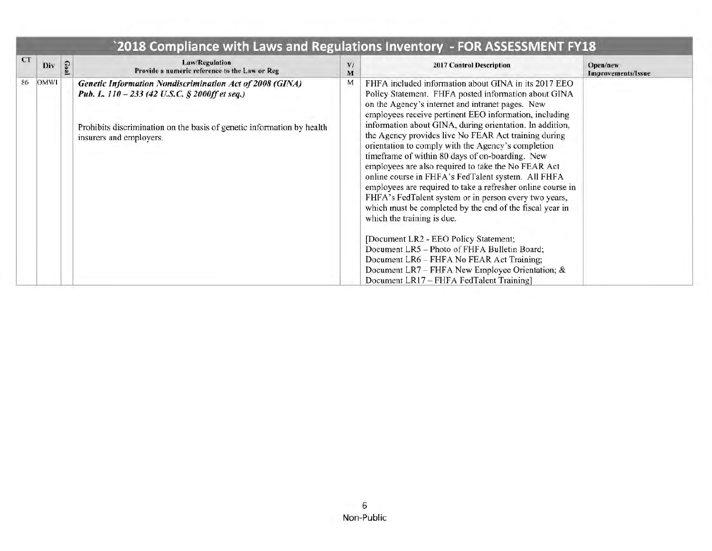| <b>CT</b> | Div         | Goal | <b>Law/Regulation</b><br>Provide a numeric reference to the Law or Reg                                                                                                                                                 | V<br>M | 2017 Control Description                                                                                                                                                                                                                                                                                                                                                                                                                                                                                                                                                                                                                                                                                                                                                               | Open/new<br>Improvements/Issue |
|-----------|-------------|------|------------------------------------------------------------------------------------------------------------------------------------------------------------------------------------------------------------------------|--------|----------------------------------------------------------------------------------------------------------------------------------------------------------------------------------------------------------------------------------------------------------------------------------------------------------------------------------------------------------------------------------------------------------------------------------------------------------------------------------------------------------------------------------------------------------------------------------------------------------------------------------------------------------------------------------------------------------------------------------------------------------------------------------------|--------------------------------|
| 86        | <b>OMWI</b> |      | <b>Genetic Information Nondiscrimination Act of 2008 (GINA)</b><br>Pub. L. 110 - 233 (42 U.S.C. § 2000ff et seq.)<br>Prohibits discrimination on the basis of genetic information by health<br>insurers and employers. | M      | FHFA included information about GINA in its 2017 EEO<br>Policy Statement. FHFA posted information about GINA<br>on the Agency's internet and intranet pages. New<br>employees receive pertinent EEO information, including<br>information about GINA, during orientation. In addition,<br>the Agency provides live No FEAR Act training during<br>orientation to comply with the Agency's completion<br>timeframe of within 80 days of on-boarding. New<br>employees are also required to take the No FEAR Act<br>online course in FHFA's FedTalent system. All FHFA<br>employees are required to take a refresher online course in<br>FHFA's FedTalent system or in person every two years,<br>which must be completed by the end of the fiscal year in<br>which the training is due. |                                |
|           |             |      |                                                                                                                                                                                                                        |        | [Document LR2 - EEO Policy Statement;<br>Document LR5 - Photo of FHFA Bulletin Board;<br>Document LR6 - FHFA No FEAR Act Training;<br>Document LR7 - FHFA New Employee Orientation; &<br>Document LR17 - FHFA FedTalent Training]                                                                                                                                                                                                                                                                                                                                                                                                                                                                                                                                                      |                                |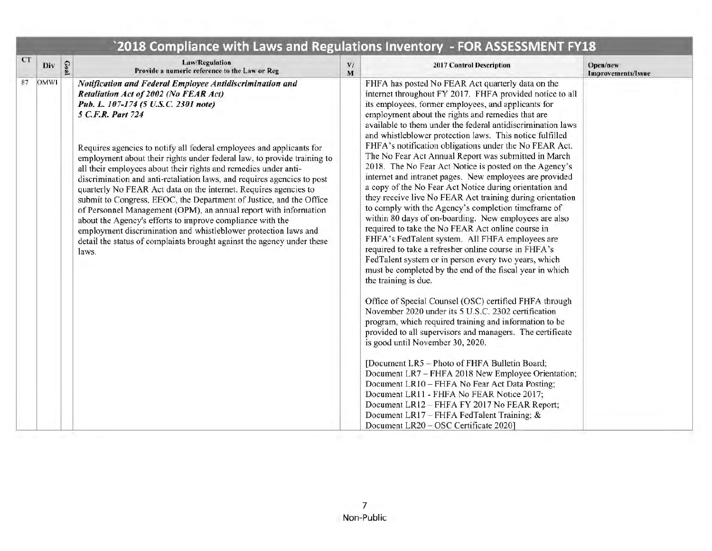| <b>CT</b><br>Goal<br>Div | <b>Law/Regulation</b><br>Provide a numeric reference to the Law or Reg                                                                                                                                                                                                                                                                                                                                                                                                                                                                                                                                                                                                                                                                                                                                                                                                                            | V/<br>M | 2017 Control Description                                                                                                                                                                                                                                                                                                                                                                                                                                                                                                                                                                                                                                                                                                                                                                                                                                                                                                                                                                                                                                                                                                                                                                                                                                                                                                                                                                                                                                                                                                                                                                                                                                                                                                                                                 | Open/new<br>Improvements/Issue |
|--------------------------|---------------------------------------------------------------------------------------------------------------------------------------------------------------------------------------------------------------------------------------------------------------------------------------------------------------------------------------------------------------------------------------------------------------------------------------------------------------------------------------------------------------------------------------------------------------------------------------------------------------------------------------------------------------------------------------------------------------------------------------------------------------------------------------------------------------------------------------------------------------------------------------------------|---------|--------------------------------------------------------------------------------------------------------------------------------------------------------------------------------------------------------------------------------------------------------------------------------------------------------------------------------------------------------------------------------------------------------------------------------------------------------------------------------------------------------------------------------------------------------------------------------------------------------------------------------------------------------------------------------------------------------------------------------------------------------------------------------------------------------------------------------------------------------------------------------------------------------------------------------------------------------------------------------------------------------------------------------------------------------------------------------------------------------------------------------------------------------------------------------------------------------------------------------------------------------------------------------------------------------------------------------------------------------------------------------------------------------------------------------------------------------------------------------------------------------------------------------------------------------------------------------------------------------------------------------------------------------------------------------------------------------------------------------------------------------------------------|--------------------------------|
| 87<br>OMWI               | Notification and Federal Employee Antidiscrimination and<br>Retaliation Act of 2002 (No FEAR Act)<br>Pub. L. 107-174 (5 U.S.C. 2301 note)<br>5 C.F.R. Part 724<br>Requires agencies to notify all federal employees and applicants for<br>employment about their rights under federal law, to provide training to<br>all their employees about their rights and remedies under anti-<br>discrimination and anti-retaliation laws, and requires agencies to post<br>quarterly No FEAR Act data on the internet. Requires agencies to<br>submit to Congress, EEOC, the Department of Justice, and the Office<br>of Personnel Management (OPM), an annual report with information<br>about the Agency's efforts to improve compliance with the<br>employment discrimination and whistleblower protection laws and<br>detail the status of complaints brought against the agency under these<br>laws. |         | FHFA has posted No FEAR Act quarterly data on the<br>internet throughout FY 2017. FHFA provided notice to all<br>its employees, former employees, and applicants for<br>employment about the rights and remedies that are<br>available to them under the federal antidiscrimination laws<br>and whistleblower protection laws. This notice fulfilled<br>FHFA's notification obligations under the No FEAR Act.<br>The No Fear Act Annual Report was submitted in March<br>2018. The No Fear Act Notice is posted on the Agency's<br>internet and intranet pages. New employees are provided<br>a copy of the No Fear Act Notice during orientation and<br>they receive live No FEAR Act training during orientation<br>to comply with the Agency's completion timeframe of<br>within 80 days of on-boarding. New employees are also<br>required to take the No FEAR Act online course in<br>FHFA's FedTalent system. All FHFA employees are<br>required to take a refresher online course in FHFA's<br>FedTalent system or in person every two years, which<br>must be completed by the end of the fiscal year in which<br>the training is due.<br>Office of Special Counsel (OSC) certified FHFA through<br>November 2020 under its 5 U.S.C. 2302 certification<br>program, which required training and information to be<br>provided to all supervisors and managers. The certificate<br>is good until November 30, 2020.<br>[Document LR5 - Photo of FHFA Bulletin Board;<br>Document LR7 - FHFA 2018 New Employee Orientation;<br>Document LR10 - FHFA No Fear Act Data Posting;<br>Document LR11 - FHFA No FEAR Notice 2017;<br>Document LR12 - FHFA FY 2017 No FEAR Report;<br>Document LR17 - FHFA FedTalent Training; &<br>Document LR20 - OSC Certificate 2020] |                                |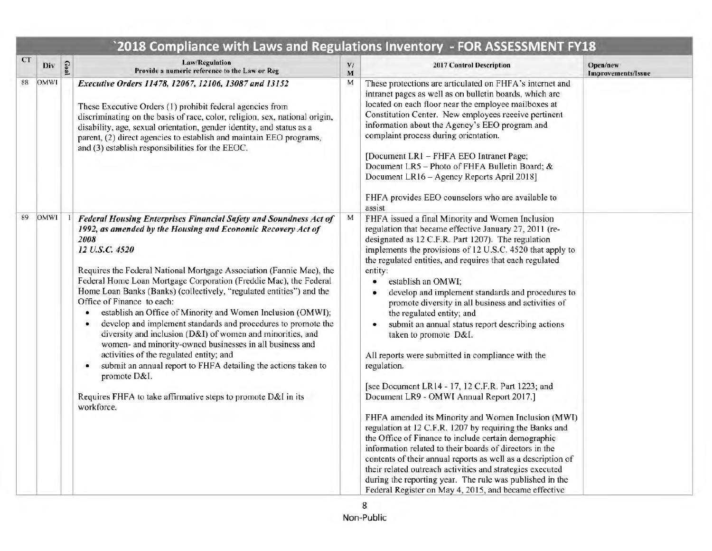| <b>CT</b><br>Div  | Goal | Law/Regulation<br>Provide a numeric reference to the Law or Reg                                                                                                                                                                                                                                                                                                                                                                                                                                                                                                                                                                                                                                                                                                                                                                                                                                | V/<br>M | 2017 Control Description                                                                                                                                                                                                                                                                                                                                                                                                                                                                                                                                                                                                                                                                                                                                                                                                                                                                                                                                                                                                                                                                                                                                                                                           | Open/new<br><b>Improvements/Issue</b> |
|-------------------|------|------------------------------------------------------------------------------------------------------------------------------------------------------------------------------------------------------------------------------------------------------------------------------------------------------------------------------------------------------------------------------------------------------------------------------------------------------------------------------------------------------------------------------------------------------------------------------------------------------------------------------------------------------------------------------------------------------------------------------------------------------------------------------------------------------------------------------------------------------------------------------------------------|---------|--------------------------------------------------------------------------------------------------------------------------------------------------------------------------------------------------------------------------------------------------------------------------------------------------------------------------------------------------------------------------------------------------------------------------------------------------------------------------------------------------------------------------------------------------------------------------------------------------------------------------------------------------------------------------------------------------------------------------------------------------------------------------------------------------------------------------------------------------------------------------------------------------------------------------------------------------------------------------------------------------------------------------------------------------------------------------------------------------------------------------------------------------------------------------------------------------------------------|---------------------------------------|
| 88<br><b>OMWI</b> |      | Executive Orders 11478, 12067, 12106, 13087 and 13152<br>These Executive Orders (1) prohibit federal agencies from<br>discriminating on the basis of race, color, religion, sex, national origin,<br>disability, age, sexual orientation, gender identity, and status as a<br>parent, (2) direct agencies to establish and maintain EEO programs,<br>and (3) establish responsibilities for the EEOC.                                                                                                                                                                                                                                                                                                                                                                                                                                                                                          | М       | These protections are articulated on FHFA's internet and<br>intranet pages as well as on bulletin boards, which are<br>located on each floor near the employee mailboxes at<br>Constitution Center. New employees receive pertinent<br>information about the Agency's EEO program and<br>complaint process during orientation.<br>[Document LR1 - FHFA EEO Intranet Page;<br>Document LR5 - Photo of FHFA Bulletin Board; &<br>Document LR16 - Agency Reports April 2018]<br>FHFA provides EEO counselors who are available to<br>assist                                                                                                                                                                                                                                                                                                                                                                                                                                                                                                                                                                                                                                                                           |                                       |
| 89<br><b>OMWI</b> |      | Federal Housing Enterprises Financial Safety and Soundness Act of<br>1992, as amended by the Housing and Economic Recovery Act of<br>2008<br>12 U.S.C. 4520<br>Requires the Federal National Mortgage Association (Fannie Mae), the<br>Federal Home Loan Mortgage Corporation (Freddie Mac), the Federal<br>Home Loan Banks (Banks) (collectively, "regulated entities") and the<br>Office of Finance to each:<br>establish an Office of Minority and Women Inclusion (OMWI);<br>۰<br>develop and implement standards and procedures to promote the<br>diversity and inclusion (D&I) of women and minorities, and<br>women- and minority-owned businesses in all business and<br>activities of the regulated entity; and<br>submit an annual report to FHFA detailing the actions taken to<br>٠<br>promote D&I.<br>Requires FHFA to take affirmative steps to promote D&I in its<br>workforce. | M       | FHFA issued a final Minority and Women Inclusion<br>regulation that became effective January 27, 2011 (re-<br>designated as 12 C.F.R. Part 1207). The regulation<br>implements the provisions of 12 U.S.C. 4520 that apply to<br>the regulated entities, and requires that each regulated<br>entity:<br>establish an OMWI;<br>۰<br>develop and implement standards and procedures to<br>promote diversity in all business and activities of<br>the regulated entity; and<br>submit an annual status report describing actions<br>taken to promote D&I.<br>All reports were submitted in compliance with the<br>regulation.<br>[see Document LR14 - 17, 12 C.F.R. Part 1223; and<br>Document LR9 - OMWI Annual Report 2017.]<br>FHFA amended its Minority and Women Inclusion (MWI)<br>regulation at 12 C.F.R. 1207 by requiring the Banks and<br>the Office of Finance to include certain demographic<br>information related to their boards of directors in the<br>contents of their annual reports as well as a description of<br>their related outreach activities and strategies executed<br>during the reporting year. The rule was published in the<br>Federal Register on May 4, 2015, and became effective |                                       |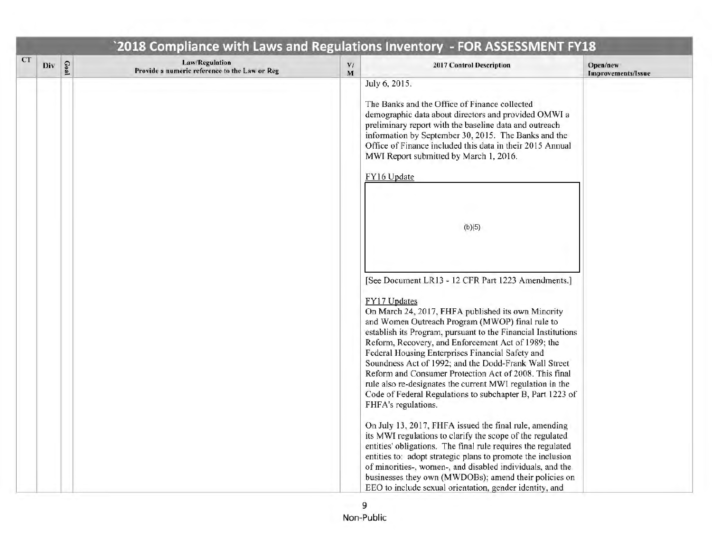|           |     |      |                                                                        |                     | `2018 Compliance with Laws and Regulations Inventory - FOR ASSESSMENT FY18                                                                                                                                                                                                                                                                                                                                                                                                                                                                                                                                                                                                                                                                                                                                                                                                                                                                                                                                                                                                                                                                                                                                                                                                                                                |                                |
|-----------|-----|------|------------------------------------------------------------------------|---------------------|---------------------------------------------------------------------------------------------------------------------------------------------------------------------------------------------------------------------------------------------------------------------------------------------------------------------------------------------------------------------------------------------------------------------------------------------------------------------------------------------------------------------------------------------------------------------------------------------------------------------------------------------------------------------------------------------------------------------------------------------------------------------------------------------------------------------------------------------------------------------------------------------------------------------------------------------------------------------------------------------------------------------------------------------------------------------------------------------------------------------------------------------------------------------------------------------------------------------------------------------------------------------------------------------------------------------------|--------------------------------|
| <b>CT</b> | Div | Goal | <b>Law/Regulation</b><br>Provide a numeric reference to the Law or Reg | $\mathbf{V} /$<br>M | 2017 Control Description                                                                                                                                                                                                                                                                                                                                                                                                                                                                                                                                                                                                                                                                                                                                                                                                                                                                                                                                                                                                                                                                                                                                                                                                                                                                                                  | Open/new<br>Improvements/Issue |
|           |     |      |                                                                        |                     | July 6, 2015.<br>The Banks and the Office of Finance collected<br>demographic data about directors and provided OMWI a<br>preliminary report with the baseline data and outreach<br>information by September 30, 2015. The Banks and the<br>Office of Finance included this data in their 2015 Annual<br>MWI Report submitted by March 1, 2016.<br>FY16 Update<br>(b)(5)<br>[See Document LR13 - 12 CFR Part 1223 Amendments.]<br>FY17 Updates<br>On March 24, 2017, FHFA published its own Minority<br>and Women Outreach Program (MWOP) final rule to<br>establish its Program, pursuant to the Financial Institutions<br>Reform, Recovery, and Enforcement Act of 1989; the<br>Federal Housing Enterprises Financial Safety and<br>Soundness Act of 1992; and the Dodd-Frank Wall Street<br>Reform and Consumer Protection Act of 2008. This final<br>rule also re-designates the current MWI regulation in the<br>Code of Federal Regulations to subchapter B, Part 1223 of<br>FHFA's regulations.<br>On July 13, 2017, FHFA issued the final rule, amending<br>its MWI regulations to clarify the scope of the regulated<br>entities' obligations. The final rule requires the regulated<br>entities to: adopt strategic plans to promote the inclusion<br>of minorities-, women-, and disabled individuals, and the |                                |
|           |     |      |                                                                        |                     | businesses they own (MWDOBs); amend their policies on<br>EEO to include sexual orientation, gender identity, and                                                                                                                                                                                                                                                                                                                                                                                                                                                                                                                                                                                                                                                                                                                                                                                                                                                                                                                                                                                                                                                                                                                                                                                                          |                                |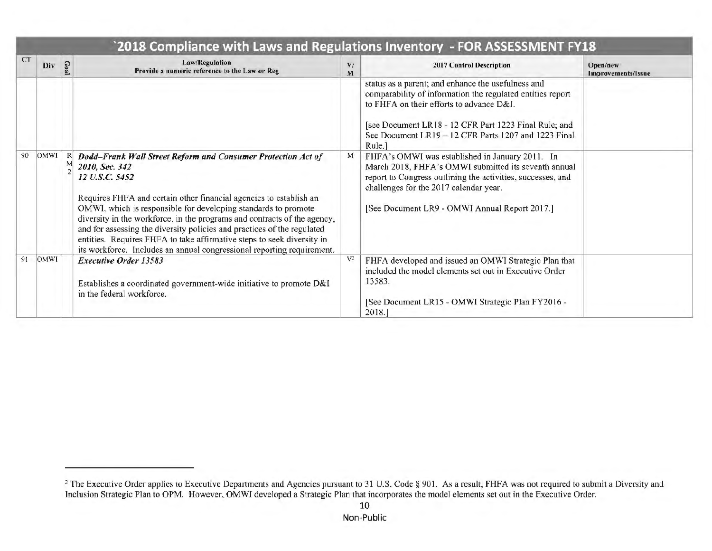|           |             |                                                                                                                                                                                                                                                                                                                                                                                                                                                                                                                                                     |         | 2018 Compliance with Laws and Regulations Inventory - FOR ASSESSMENT FY18                                                                                                                                                                                                               |                                |  |  |  |
|-----------|-------------|-----------------------------------------------------------------------------------------------------------------------------------------------------------------------------------------------------------------------------------------------------------------------------------------------------------------------------------------------------------------------------------------------------------------------------------------------------------------------------------------------------------------------------------------------------|---------|-----------------------------------------------------------------------------------------------------------------------------------------------------------------------------------------------------------------------------------------------------------------------------------------|--------------------------------|--|--|--|
| <b>CT</b> | Div         | Law/Regulation<br>Provide a numeric reference to the Law or Reg                                                                                                                                                                                                                                                                                                                                                                                                                                                                                     | V/<br>M | 2017 Control Description                                                                                                                                                                                                                                                                | Open/new<br>Improvements/Issue |  |  |  |
|           |             |                                                                                                                                                                                                                                                                                                                                                                                                                                                                                                                                                     |         | status as a parent; and enhance the usefulness and<br>comparability of information the regulated entities report<br>to FHFA on their efforts to advance D&I.<br>[see Document LR18 - 12 CFR Part 1223 Final Rule; and<br>See Document LR19 - 12 CFR Parts 1207 and 1223 Final<br>Rule.] |                                |  |  |  |
| 90        | <b>OMWI</b> | Dodd-Frank Wall Street Reform and Consumer Protection Act of<br>2010, Sec. 342<br>12 U.S.C. 5452<br>Requires FHFA and certain other financial agencies to establish an<br>OMWI, which is responsible for developing standards to promote<br>diversity in the workforce, in the programs and contracts of the agency,<br>and for assessing the diversity policies and practices of the regulated<br>entities. Requires FHFA to take affirmative steps to seek diversity in<br>its workforce. Includes an annual congressional reporting requirement. | M       | FHFA's OMWI was established in January 2011. In<br>March 2018, FHFA's OMWI submitted its seventh annual<br>report to Congress outlining the activities, successes, and<br>challenges for the 2017 calendar year.<br>[See Document LR9 - OMWI Annual Report 2017.]                       |                                |  |  |  |
| 91        | <b>OMWI</b> | <b>Executive Order 13583</b><br>Establishes a coordinated government-wide initiative to promote D&I<br>in the federal workforce.                                                                                                                                                                                                                                                                                                                                                                                                                    | $V^2$   | FHFA developed and issued an OMWI Strategic Plan that<br>included the model elements set out in Executive Order<br>13583.<br>[See Document LR15 - OMWI Strategic Plan FY2016 -<br>2018.]                                                                                                |                                |  |  |  |

<sup>&</sup>lt;sup>2</sup> The Executive Order applies to Executive Departments and Agencies pursuant to 31 U.S. Code § 901. As a result, FHFA was not required to submit a Diversity and Inclusion Strategic Plan to OPM. However, OMWI developed a Strategic Plan that incorporates the model elements set out in the Executive Order.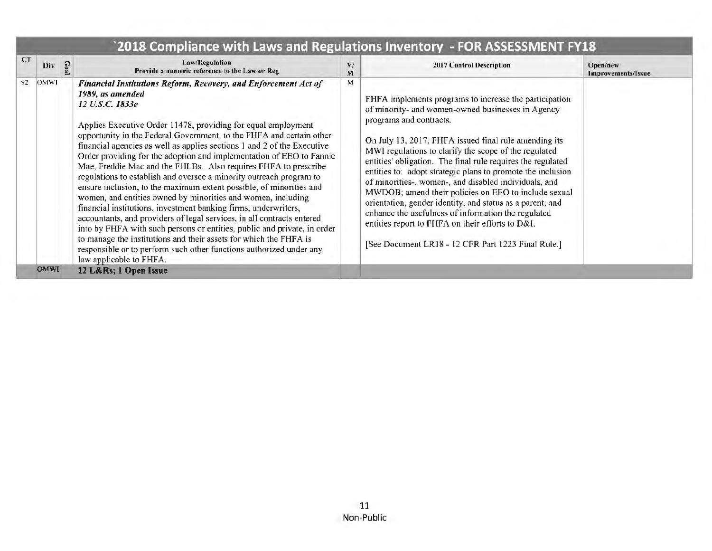| 92<br>OMWI<br>M<br>Financial Institutions Reform, Recovery, and Enforcement Act of<br>1989, as amended<br>FHFA implements programs to increase the participation<br>12 U.S.C. 1833e<br>of minority- and women-owned businesses in Agency<br>programs and contracts.<br>Applies Executive Order 11478, providing for equal employment<br>opportunity in the Federal Government, to the FHFA and certain other<br>On July 13, 2017, FHFA issued final rule amending its<br>financial agencies as well as applies sections 1 and 2 of the Executive<br>MWI regulations to clarify the scope of the regulated<br>Order providing for the adoption and implementation of EEO to Fannie<br>entities' obligation. The final rule requires the regulated<br>Mae, Freddie Mac and the FHLBs. Also requires FHFA to prescribe<br>entities to: adopt strategic plans to promote the inclusion<br>regulations to establish and oversee a minority outreach program to<br>of minorities-, women-, and disabled individuals, and<br>ensure inclusion, to the maximum extent possible, of minorities and<br>MWDOB; amend their policies on EEO to include sexual<br>women, and entities owned by minorities and women, including<br>orientation, gender identity, and status as a parent; and<br>financial institutions, investment banking firms, underwriters,<br>enhance the usefulness of information the regulated<br>accountants, and providers of legal services, in all contracts entered<br>entities report to FHFA on their efforts to D&I.<br>into by FHFA with such persons or entities, public and private, in order<br>to manage the institutions and their assets for which the FHFA is<br>[See Document LR18 - 12 CFR Part 1223 Final Rule.]<br>responsible or to perform such other functions authorized under any<br>law applicable to FHFA. | <b>CT</b><br>Div | Goal | Law/Regulation<br>Provide a numeric reference to the Law or Reg | V<br>м | 2017 Control Description | Open/new<br>Improvements/Issue |
|-------------------------------------------------------------------------------------------------------------------------------------------------------------------------------------------------------------------------------------------------------------------------------------------------------------------------------------------------------------------------------------------------------------------------------------------------------------------------------------------------------------------------------------------------------------------------------------------------------------------------------------------------------------------------------------------------------------------------------------------------------------------------------------------------------------------------------------------------------------------------------------------------------------------------------------------------------------------------------------------------------------------------------------------------------------------------------------------------------------------------------------------------------------------------------------------------------------------------------------------------------------------------------------------------------------------------------------------------------------------------------------------------------------------------------------------------------------------------------------------------------------------------------------------------------------------------------------------------------------------------------------------------------------------------------------------------------------------------------------------------------------------------------------------------------------------------------------------------|------------------|------|-----------------------------------------------------------------|--------|--------------------------|--------------------------------|
| <b>OMWI</b>                                                                                                                                                                                                                                                                                                                                                                                                                                                                                                                                                                                                                                                                                                                                                                                                                                                                                                                                                                                                                                                                                                                                                                                                                                                                                                                                                                                                                                                                                                                                                                                                                                                                                                                                                                                                                                     |                  |      |                                                                 |        |                          |                                |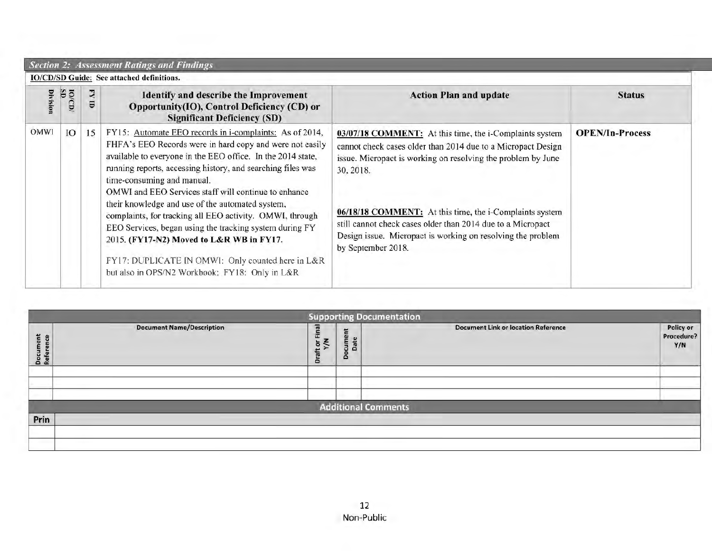|                 | <b>Section 2: Assessment Ratings and Findings</b> |    |                                                                                                                                                                                                                                                                                                                                                                                                                                                                                                                                                                                                                                                                       |                                                                                                                                                                                                                                                                                                                                                                                                                     |                        |  |  |  |  |  |
|-----------------|---------------------------------------------------|----|-----------------------------------------------------------------------------------------------------------------------------------------------------------------------------------------------------------------------------------------------------------------------------------------------------------------------------------------------------------------------------------------------------------------------------------------------------------------------------------------------------------------------------------------------------------------------------------------------------------------------------------------------------------------------|---------------------------------------------------------------------------------------------------------------------------------------------------------------------------------------------------------------------------------------------------------------------------------------------------------------------------------------------------------------------------------------------------------------------|------------------------|--|--|--|--|--|
|                 | IO/CD/SD Guide: See attached definitions.         |    |                                                                                                                                                                                                                                                                                                                                                                                                                                                                                                                                                                                                                                                                       |                                                                                                                                                                                                                                                                                                                                                                                                                     |                        |  |  |  |  |  |
| <b>Division</b> | <b>10/CD/</b>                                     | 리  | <b>Identify and describe the Improvement</b><br>Opportunity(IO), Control Deficiency (CD) or<br><b>Significant Deficiency (SD)</b>                                                                                                                                                                                                                                                                                                                                                                                                                                                                                                                                     | <b>Action Plan and update</b>                                                                                                                                                                                                                                                                                                                                                                                       | <b>Status</b>          |  |  |  |  |  |
| <b>OMWI</b>     | Ю                                                 | 15 | FY15: Automate EEO records in i-complaints: As of 2014,<br>FHFA's EEO Records were in hard copy and were not easily<br>available to everyone in the EEO office. In the 2014 state,<br>running reports, accessing history, and searching files was<br>time-consuming and manual.<br>OMWI and EEO Services staff will continue to enhance<br>their knowledge and use of the automated system,<br>complaints, for tracking all EEO activity. OMWI, through<br>EEO Services, began using the tracking system during FY<br>2015. (FY17-N2) Moved to L&R WB in FY17.<br>FY17: DUPLICATE IN OMWI: Only counted here in L&R<br>but also in OPS/N2 Workbook: FY18: Only in L&R | 03/07/18 COMMENT: At this time, the i-Complaints system<br>cannot check cases older than 2014 due to a Micropact Design<br>issue. Micropact is working on resolving the problem by June<br>30, 2018.<br>06/18/18 COMMENT: At this time, the i-Complaints system<br>still cannot check cases older than 2014 due to a Micropact<br>Design issue. Micropact is working on resolving the problem<br>by September 2018. | <b>OPEN/In-Process</b> |  |  |  |  |  |

|                             |                                  |                       |                        | <b>Supporting Documentation</b>            |                                |  |  |  |  |  |
|-----------------------------|----------------------------------|-----------------------|------------------------|--------------------------------------------|--------------------------------|--|--|--|--|--|
| lent<br>nce<br>Docu<br>Refe | <b>Document Name/Description</b> | Draft or Final<br>Y/N | E<br>cume<br>Date<br>å | <b>Document Link or location Reference</b> | Policy or<br>Procedure?<br>Y/N |  |  |  |  |  |
|                             |                                  |                       |                        |                                            |                                |  |  |  |  |  |
|                             |                                  |                       |                        |                                            |                                |  |  |  |  |  |
| <b>Additional Comments</b>  |                                  |                       |                        |                                            |                                |  |  |  |  |  |
| Prin                        |                                  |                       |                        |                                            |                                |  |  |  |  |  |
|                             |                                  |                       |                        |                                            |                                |  |  |  |  |  |
|                             |                                  |                       |                        |                                            |                                |  |  |  |  |  |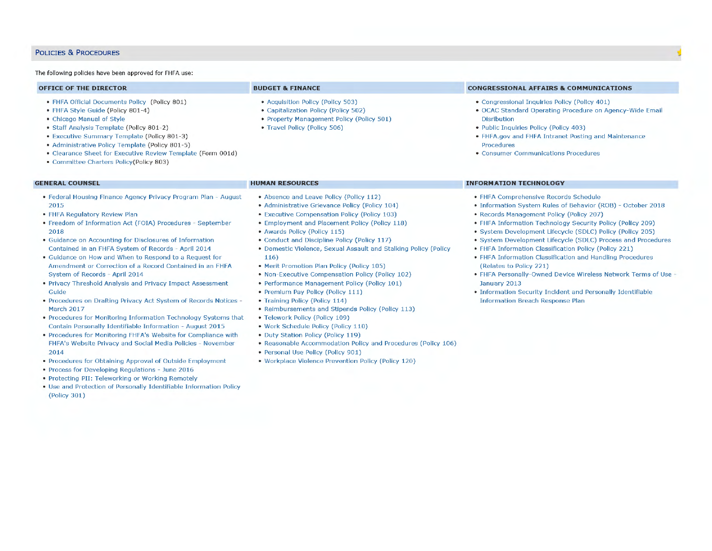#### POLICIES & PROCEDURES

#### The following policies have been approved for FHFA use:

|  | <b>OFFICE OF THE DIRECTOR</b> |  |  |
|--|-------------------------------|--|--|
|  |                               |  |  |

- FHFA Official Documents Policy (Policy 801)
- FHFA Style Guide (Policy 801-4)
- Chicago Manual of Style
- Staff Analysis Template (Policy 801-2)
- Executive Summary Template (Policy 801-3)
- Administrative Policy Template (Policy 801-5)
- Clearance Sheet for Executive Review Template (Form 001d)
- Committee Charters Policy(Policy 803)

#### **GENERAL COUNSEL**

- Federal Housing Finance Agency Privacy Program Plan August 2015
- FHFA Regulatory Review Plan
- Freedom of Information Act (FOIA) Procedures September 2018
- Guidance on Accounting for Disclosures of Information Contained in an FHFA System of Records - April 2014
- Guidance on How and When to Respond to a Request for Amendment or Correction of a Record Contained in an FHFA System of Records - April 2014
- Privacy Threshold Analysis and Privacy Impact Assessment Guide
- Procedures on Drafting Privacy Act System of Records Notices March 2017
- Procedures for Monitoring Information Technology Systems that Contain Personally Identifiable Information - August 2015
- Procedures for Monitoring FHFA's Website for Compliance with FHFA's Website Privacy and Social Media Policies - November 2014
- Procedures for Obtaining Approval of Outside Employment
- Process for Developing Regulations June 2016
- Protecting PII: Teleworking or Working Remotely
- Use and Protection of Personally Identifiable Information Policy (Policy 301)

#### **BUDGET & FINANCE**

**HUMAN RESOURCES** 

116)

- Acquisition Policy (Policy 503)
- Capitalization Policy (Policy 502)
- Property Management Policy (Policy 501)

• Absence and Leave Policy (Policy 112) • Administrative Grievance Policy (Policy 104) • Executive Compensation Policy (Policy 103) • Employment and Placement Policy (Policy 118)

• Conduct and Discipline Policy (Policy 117)

• Merit Promotion Plan Policy (Policy 105) • Non-Executive Compensation Policy (Policy 102) • Performance Management Policy (Policy 101)

• Premium Pay Policy (Policy 111) • Training Policy (Policy 114)

• Telework Policy (Policy 109) • Work Schedule Policy (Policy 110)

• Domestic Violence, Sexual Assault and Stalking Policy (Policy

• Travel Policy {Policy 506)

• Awards Policy (Policy 115)

#### **CONGRESSIONAL AFFAIRS & COMMUNICATIONS**

- Congressional Inquiries Policy (Policy 401)
- OCAC Standard Operating Procedure on Agency-Wide Email Disribution
- Public Inquiries Policy (Policy 403)
- FHFA.gov and FHFA Intranet Posting and Maintenance Procedures
- **Consumer Communications Procedures**

#### **INFORMATION TECHNOLOGY**

- FHFA Comprehensive Records Schedule
- Information System Rules of Behavior (ROB) October 2018
- Records Management Policy (Policy 207)
- FHFA Information Technology Security Policy (Policy 209)
- System Development Lifecycle (SDLC) Policy (Policy 205)
- System Development Lifecycle (SDLC) Process and Procedures
- FHFA Information Classification Policy (Policy 221)
- FHFA Information Classification and Handling Procedures (Relates to Policy 221)
- FHFA Personally-Owned Device Wireless Network Terms of Use January 2013
- Information Security Incident and Personally Identifiable Information Breach Response Plan
- Duty Station Policy (Policy 119) • Reasonable Accommodation Policy and Procedures (Policy 106)

• Reimbursements and Stipends Policy (Policy 113)

- Personal Use Policy (Policy 901)
- Workplace Violence Prevention Policy (Policy 120)